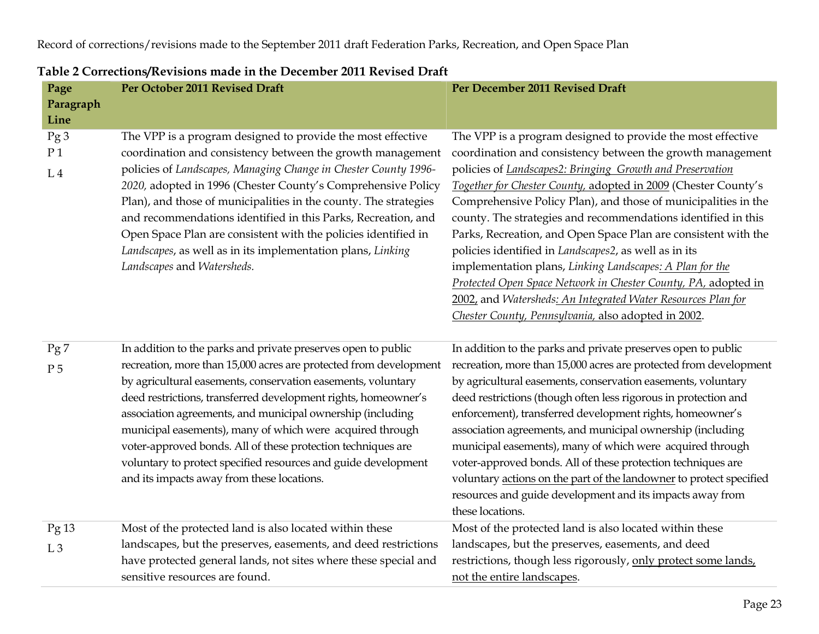| Page<br>Paragraph<br>Line               | Per October 2011 Revised Draft                                                                                                                                                                                                                                                                                                                                                                                                                                                                                                                                                  | Per December 2011 Revised Draft                                                                                                                                                                                                                                                                                                                                                                                                                                                                                                                                                                                                                                                                                                                                             |
|-----------------------------------------|---------------------------------------------------------------------------------------------------------------------------------------------------------------------------------------------------------------------------------------------------------------------------------------------------------------------------------------------------------------------------------------------------------------------------------------------------------------------------------------------------------------------------------------------------------------------------------|-----------------------------------------------------------------------------------------------------------------------------------------------------------------------------------------------------------------------------------------------------------------------------------------------------------------------------------------------------------------------------------------------------------------------------------------------------------------------------------------------------------------------------------------------------------------------------------------------------------------------------------------------------------------------------------------------------------------------------------------------------------------------------|
| Pg3<br>P <sub>1</sub><br>L <sub>4</sub> | The VPP is a program designed to provide the most effective<br>coordination and consistency between the growth management<br>policies of Landscapes, Managing Change in Chester County 1996-<br>2020, adopted in 1996 (Chester County's Comprehensive Policy<br>Plan), and those of municipalities in the county. The strategies<br>and recommendations identified in this Parks, Recreation, and<br>Open Space Plan are consistent with the policies identified in<br>Landscapes, as well as in its implementation plans, Linking<br>Landscapes and Watersheds.                | The VPP is a program designed to provide the most effective<br>coordination and consistency between the growth management<br>policies of Landscapes2: Bringing Growth and Preservation<br>Together for Chester County, adopted in 2009 (Chester County's<br>Comprehensive Policy Plan), and those of municipalities in the<br>county. The strategies and recommendations identified in this<br>Parks, Recreation, and Open Space Plan are consistent with the<br>policies identified in Landscapes2, as well as in its<br>implementation plans, Linking Landscapes: A Plan for the<br>Protected Open Space Network in Chester County, PA, adopted in<br>2002, and Watersheds: An Integrated Water Resources Plan for<br>Chester County, Pennsylvania, also adopted in 2002. |
| Pg7<br>P <sub>5</sub>                   | In addition to the parks and private preserves open to public<br>recreation, more than 15,000 acres are protected from development<br>by agricultural easements, conservation easements, voluntary<br>deed restrictions, transferred development rights, homeowner's<br>association agreements, and municipal ownership (including<br>municipal easements), many of which were acquired through<br>voter-approved bonds. All of these protection techniques are<br>voluntary to protect specified resources and guide development<br>and its impacts away from these locations. | In addition to the parks and private preserves open to public<br>recreation, more than 15,000 acres are protected from development<br>by agricultural easements, conservation easements, voluntary<br>deed restrictions (though often less rigorous in protection and<br>enforcement), transferred development rights, homeowner's<br>association agreements, and municipal ownership (including<br>municipal easements), many of which were acquired through<br>voter-approved bonds. All of these protection techniques are<br>voluntary actions on the part of the landowner to protect specified<br>resources and guide development and its impacts away from<br>these locations.                                                                                       |
| Pg13<br>L <sub>3</sub>                  | Most of the protected land is also located within these<br>landscapes, but the preserves, easements, and deed restrictions<br>have protected general lands, not sites where these special and<br>sensitive resources are found.                                                                                                                                                                                                                                                                                                                                                 | Most of the protected land is also located within these<br>landscapes, but the preserves, easements, and deed<br>restrictions, though less rigorously, only protect some lands,<br>not the entire landscapes.                                                                                                                                                                                                                                                                                                                                                                                                                                                                                                                                                               |

## **Table 2 Corrections/Revisions made in the December 2011 Revised Draft**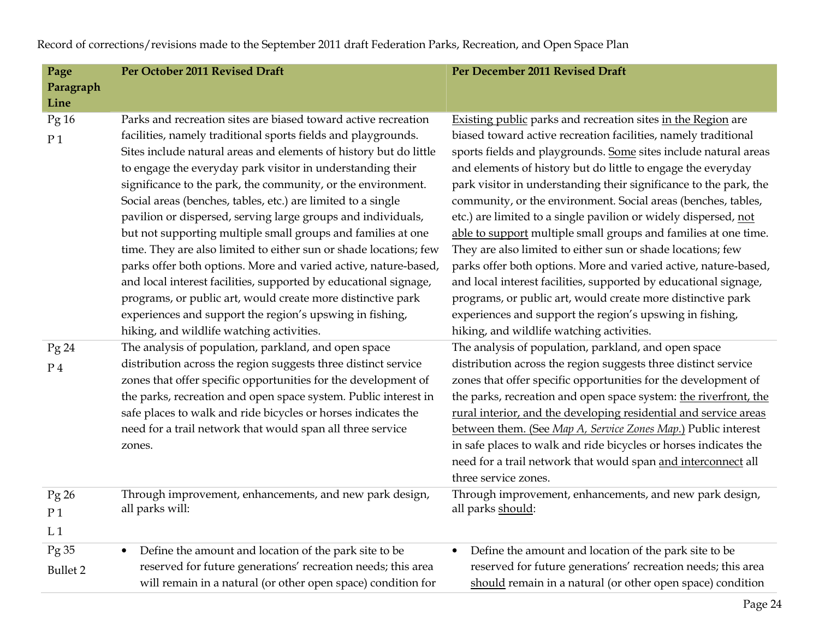**Page Paragraph Line Per October 2011 Revised Draft** Per December 2011 Revised Draft **Per December 2011 Revised Draft** Pg 16 P 1 Parks and recreation sites are biased toward active recreation facilities, namely traditional sports fields and playgrounds. Sites include natural areas and elements of history but do little to engage the everyday park visitor in understanding their significance to the park, the community, or the environment. Social areas (benches, tables, etc.) are limited to a single pavilion or dispersed, serving large groups and individuals, but not supporting multiple small groups and families at one time. They are also limited to either sun or shade locations; few parks offer both options. More and varied active, nature-based, and local interest facilities, supported by educational signage, programs, or public art, would create more distinctive park experiences and support the region's upswing in fishing, hiking, and wildlife watching activities. Existing public parks and recreation sites in the Region are biased toward active recreation facilities, namely traditionalsports fields and playgrounds. Some sites include natural areas and elements of history but do little to engage the everyday park visitor in understanding their significance to the park, the community, or the environment. Social areas (benches, tables, etc.) are limited to a single pavilion or widely dispersed, not able to support multiple small groups and families at one time. They are also limited to either sun or shade locations; few parks offer both options. More and varied active, nature-based, and local interest facilities, supported by educational signage, programs, or public art, would create more distinctive park experiences and support the region's upswing in fishing, hiking, and wildlife watching activities. Pg 24 P 4 The analysis of population, parkland, and open space distribution across the region suggests three distinct service zones that offer specific opportunities for the development of the parks, recreation and open space system*.* Public interest in safe places to walk and ride bicycles or horses indicates the need for a trail network that would span all three service zones. The analysis of population, parkland, and open space distribution across the region suggests three distinct service zones that offer specific opportunities for the development of the parks, recreation and open space system: the riverfront, the rural interior, and the developing residential and service areas between them. (See *Map A, Service Zones Map.*) Public interest in safe places to walk and ride bicycles or horses indicates the need for a trail network that would span and interconnect all three service zones. Pg 26 P 1 Through improvement, enhancements, and new park design, all parks will: Through improvement, enhancements, and new park design, all parks should:

 $\bullet$ 

Define the amount and location of the park site to be

reserved for future generations' recreation needs; this areashould remain in a natural (or other open space) condition

Record of corrections/revisions made to the September 2011 draft Federation Parks, Recreation, and Open Space Plan

 $L_{1}$ 

Pg 35 Bullet 2

•

Define the amount and location of the park site to be

reserved for future generations' recreation needs; this areawill remain in a natural (or other open space) condition for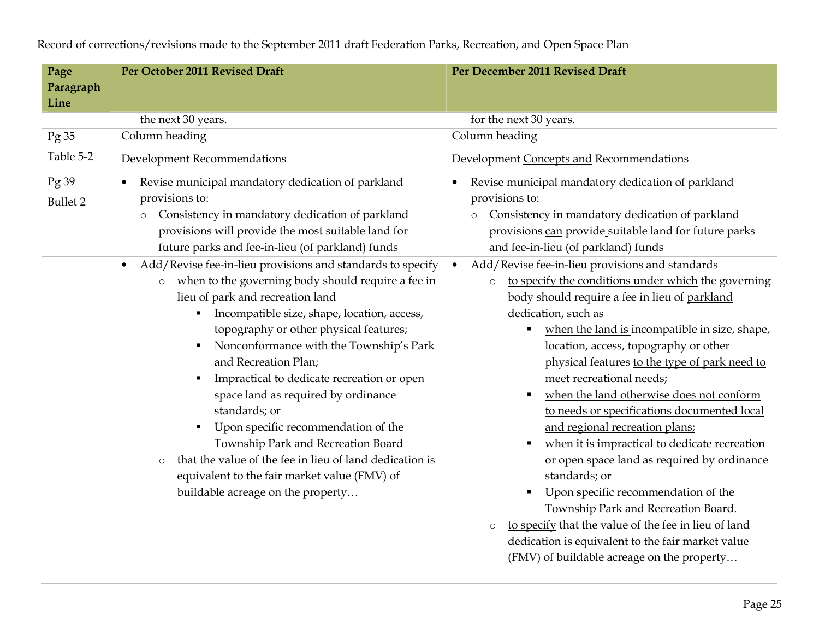**Page Paragraph Line Per October 2011 Revised Draft** Per December 2011 Revised Draft **Per December 2011 Revised Draft** the next 30 years. for the next 30 years. Pg 35 Table 5-2 Column heading Development Recommendations Column heading Development Concepts and Recommendations Pg 39 Bullet 2 • Revise municipal mandatory dedication of parkland provisions to: o Consistency in mandatory dedication of parkland provisions will provide the most suitable land for future parks and fee-in-lieu (of parkland) funds  $\bullet$  Revise municipal mandatory dedication of parkland provisions to: o Consistency in mandatory dedication of parkland provisions can provide suitable land for future parks and fee-in-lieu (of parkland) funds • Add/Revise fee-in-lieu provisions and standards to specify o when to the governing body should require a fee in lieu of park and recreation land ■ Incompatible size, shape, location, access, topography or other physical features; Nonconformance with the Township's Park and Recreation Plan; **Impractical to dedicate recreation or open** space land as required by ordinance standards; or Upon specific recommendation of the Township Park and Recreation Board o that the value of the fee in lieu of land dedication is equivalent to the fair market value (FMV) of buildable acreage on the property…  $\bullet$  Add/Revise fee-in-lieu provisions and standards o to specify the conditions under which the governing body should require a fee in lieu of parkland dedication, such as **•** when the land is incompatible in size, shape, location, access, topography or other physical features to the type of park need to meet recreational needs; • when the land otherwise does not conform to needs or specifications documented local and regional recreation plans; • when it is impractical to dedicate recreation or open space land as required by ordinance standards; or Upon specific recommendation of the Township Park and Recreation Board. o to specify that the value of the fee in lieu of land dedication is equivalent to the fair market value (FMV) of buildable acreage on the property…

Record of corrections/revisions made to the September 2011 draft Federation Parks, Recreation, and Open Space Plan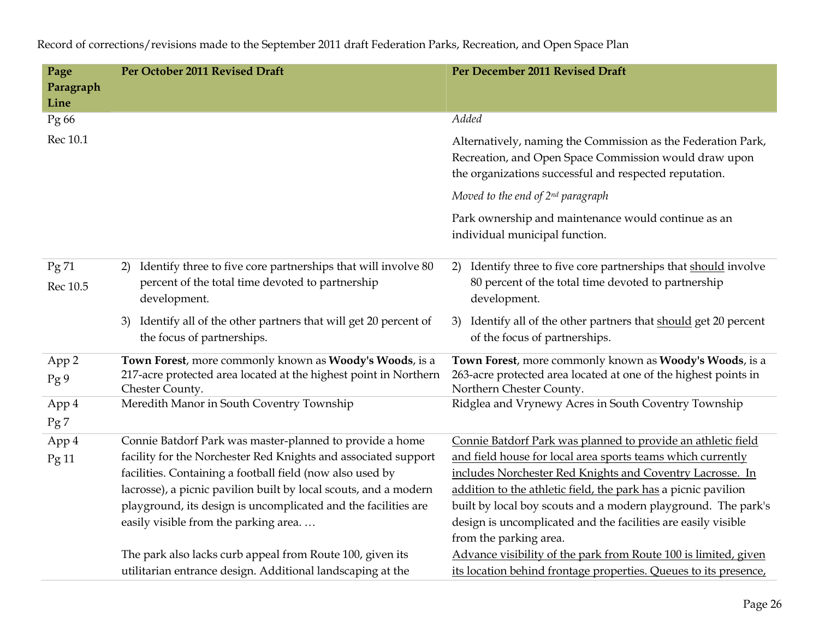| Page             | Per October 2011 Revised Draft                                                                                                                                                                                                                                                                                                                                        | Per December 2011 Revised Draft                                                                                                                                                                                                                                                                                                                                                              |  |  |  |
|------------------|-----------------------------------------------------------------------------------------------------------------------------------------------------------------------------------------------------------------------------------------------------------------------------------------------------------------------------------------------------------------------|----------------------------------------------------------------------------------------------------------------------------------------------------------------------------------------------------------------------------------------------------------------------------------------------------------------------------------------------------------------------------------------------|--|--|--|
| Paragraph        |                                                                                                                                                                                                                                                                                                                                                                       |                                                                                                                                                                                                                                                                                                                                                                                              |  |  |  |
| Line             |                                                                                                                                                                                                                                                                                                                                                                       |                                                                                                                                                                                                                                                                                                                                                                                              |  |  |  |
| Pg 66            |                                                                                                                                                                                                                                                                                                                                                                       | Added                                                                                                                                                                                                                                                                                                                                                                                        |  |  |  |
| Rec 10.1         |                                                                                                                                                                                                                                                                                                                                                                       | Alternatively, naming the Commission as the Federation Park,<br>Recreation, and Open Space Commission would draw upon<br>the organizations successful and respected reputation.                                                                                                                                                                                                              |  |  |  |
|                  |                                                                                                                                                                                                                                                                                                                                                                       | Moved to the end of $2^{nd}$ paragraph                                                                                                                                                                                                                                                                                                                                                       |  |  |  |
|                  |                                                                                                                                                                                                                                                                                                                                                                       | Park ownership and maintenance would continue as an<br>individual municipal function.                                                                                                                                                                                                                                                                                                        |  |  |  |
| Pg71<br>Rec 10.5 | Identify three to five core partnerships that will involve 80<br>2)<br>percent of the total time devoted to partnership<br>development.                                                                                                                                                                                                                               | Identify three to five core partnerships that should involve<br>2)<br>80 percent of the total time devoted to partnership<br>development.                                                                                                                                                                                                                                                    |  |  |  |
|                  | Identify all of the other partners that will get 20 percent of<br>3)<br>the focus of partnerships.                                                                                                                                                                                                                                                                    | Identify all of the other partners that should get 20 percent<br>3)<br>of the focus of partnerships.                                                                                                                                                                                                                                                                                         |  |  |  |
| App 2<br>Pg 9    | Town Forest, more commonly known as Woody's Woods, is a<br>217-acre protected area located at the highest point in Northern<br>Chester County.                                                                                                                                                                                                                        | Town Forest, more commonly known as Woody's Woods, is a<br>263-acre protected area located at one of the highest points in<br>Northern Chester County.                                                                                                                                                                                                                                       |  |  |  |
| App 4<br>Pg7     | Meredith Manor in South Coventry Township                                                                                                                                                                                                                                                                                                                             | Ridglea and Vrynewy Acres in South Coventry Township                                                                                                                                                                                                                                                                                                                                         |  |  |  |
| App 4<br>Pg11    | Connie Batdorf Park was master-planned to provide a home<br>facility for the Norchester Red Knights and associated support<br>facilities. Containing a football field (now also used by<br>lacrosse), a picnic pavilion built by local scouts, and a modern<br>playground, its design is uncomplicated and the facilities are<br>easily visible from the parking area | Connie Batdorf Park was planned to provide an athletic field<br>and field house for local area sports teams which currently<br>includes Norchester Red Knights and Coventry Lacrosse. In<br>addition to the athletic field, the park has a picnic pavilion<br>built by local boy scouts and a modern playground. The park's<br>design is uncomplicated and the facilities are easily visible |  |  |  |
|                  |                                                                                                                                                                                                                                                                                                                                                                       | from the parking area.                                                                                                                                                                                                                                                                                                                                                                       |  |  |  |
|                  | The park also lacks curb appeal from Route 100, given its<br>utilitarian entrance design. Additional landscaping at the                                                                                                                                                                                                                                               | Advance visibility of the park from Route 100 is limited, given<br>its location behind frontage properties. Queues to its presence,                                                                                                                                                                                                                                                          |  |  |  |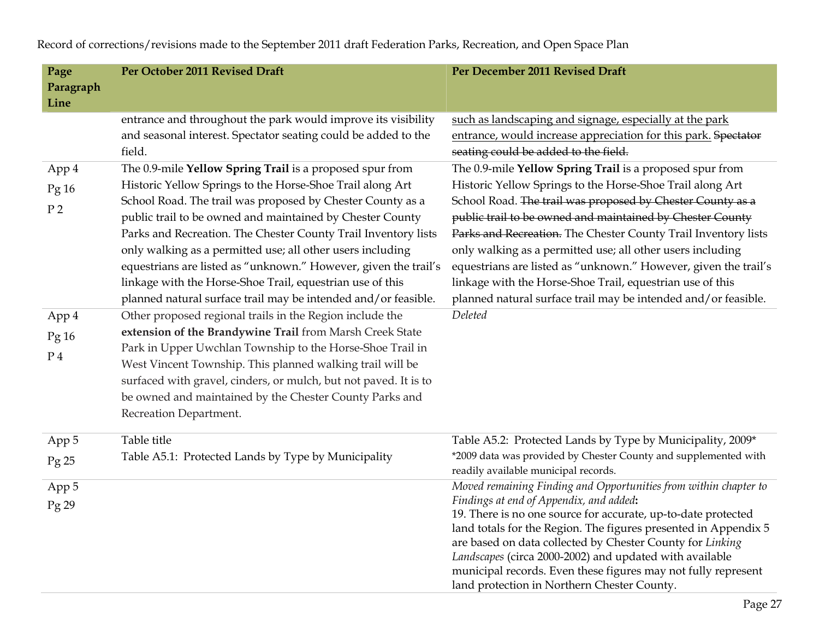| Page<br>Paragraph                           | Per October 2011 Revised Draft                                                                                                                                                                                                                                                                                                                                                                                                                                                                                                                                                     | Per December 2011 Revised Draft                                                                                                                                                                                                                                                                                                                                                                                                                                                                                                                                                    |
|---------------------------------------------|------------------------------------------------------------------------------------------------------------------------------------------------------------------------------------------------------------------------------------------------------------------------------------------------------------------------------------------------------------------------------------------------------------------------------------------------------------------------------------------------------------------------------------------------------------------------------------|------------------------------------------------------------------------------------------------------------------------------------------------------------------------------------------------------------------------------------------------------------------------------------------------------------------------------------------------------------------------------------------------------------------------------------------------------------------------------------------------------------------------------------------------------------------------------------|
| Line                                        |                                                                                                                                                                                                                                                                                                                                                                                                                                                                                                                                                                                    |                                                                                                                                                                                                                                                                                                                                                                                                                                                                                                                                                                                    |
|                                             | entrance and throughout the park would improve its visibility<br>and seasonal interest. Spectator seating could be added to the<br>field.                                                                                                                                                                                                                                                                                                                                                                                                                                          | such as landscaping and signage, especially at the park<br>entrance, would increase appreciation for this park. Spectator<br>seating could be added to the field.                                                                                                                                                                                                                                                                                                                                                                                                                  |
| App 4<br>Pg <sub>16</sub><br>P <sub>2</sub> | The 0.9-mile Yellow Spring Trail is a proposed spur from<br>Historic Yellow Springs to the Horse-Shoe Trail along Art<br>School Road. The trail was proposed by Chester County as a<br>public trail to be owned and maintained by Chester County<br>Parks and Recreation. The Chester County Trail Inventory lists<br>only walking as a permitted use; all other users including<br>equestrians are listed as "unknown." However, given the trail's<br>linkage with the Horse-Shoe Trail, equestrian use of this<br>planned natural surface trail may be intended and/or feasible. | The 0.9-mile Yellow Spring Trail is a proposed spur from<br>Historic Yellow Springs to the Horse-Shoe Trail along Art<br>School Road. The trail was proposed by Chester County as a<br>public trail to be owned and maintained by Chester County<br>Parks and Recreation. The Chester County Trail Inventory lists<br>only walking as a permitted use; all other users including<br>equestrians are listed as "unknown." However, given the trail's<br>linkage with the Horse-Shoe Trail, equestrian use of this<br>planned natural surface trail may be intended and/or feasible. |
| App 4<br>Pg16<br>$P_4$                      | Other proposed regional trails in the Region include the<br>extension of the Brandywine Trail from Marsh Creek State<br>Park in Upper Uwchlan Township to the Horse-Shoe Trail in<br>West Vincent Township. This planned walking trail will be<br>surfaced with gravel, cinders, or mulch, but not paved. It is to<br>be owned and maintained by the Chester County Parks and<br>Recreation Department.                                                                                                                                                                            | Deleted                                                                                                                                                                                                                                                                                                                                                                                                                                                                                                                                                                            |
| App 5<br>Pg25                               | Table title<br>Table A5.1: Protected Lands by Type by Municipality                                                                                                                                                                                                                                                                                                                                                                                                                                                                                                                 | Table A5.2: Protected Lands by Type by Municipality, 2009*<br>*2009 data was provided by Chester County and supplemented with<br>readily available municipal records.                                                                                                                                                                                                                                                                                                                                                                                                              |
| App 5<br>$Pg$ 29                            |                                                                                                                                                                                                                                                                                                                                                                                                                                                                                                                                                                                    | Moved remaining Finding and Opportunities from within chapter to<br>Findings at end of Appendix, and added:<br>19. There is no one source for accurate, up-to-date protected<br>land totals for the Region. The figures presented in Appendix 5<br>are based on data collected by Chester County for Linking<br>Landscapes (circa 2000-2002) and updated with available<br>municipal records. Even these figures may not fully represent<br>land protection in Northern Chester County.                                                                                            |